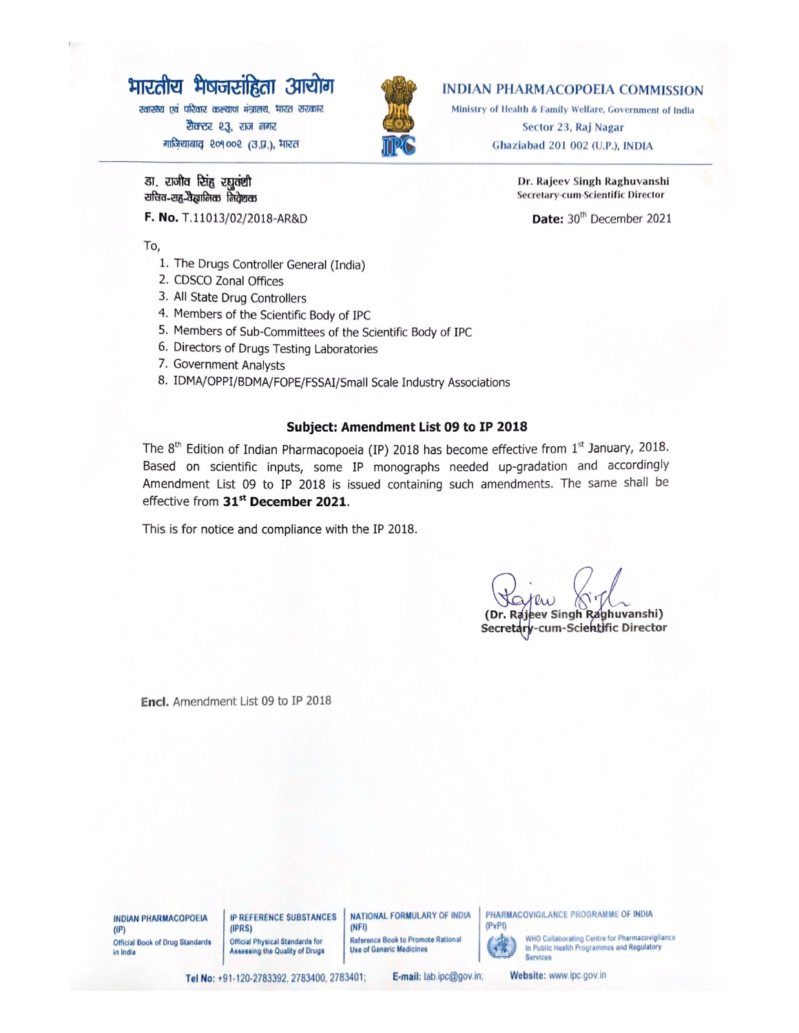# भारतीय भेषजसंहिता आयोग

स्वास्थ्य एवं परिवार कल्याण मंत्रालय, भारत सरकार सैक्टर २३, राज नगर गाज़ियाबाद २०१००२ (उ.प्र.), मारत



## **INDIAN PHARMACOPOEIA COMMISSION**

Ministry of Health & Family Welfare, Government of India Sector 23, Raj Nagar Ghaziabad 201 002 (U.P.), INDIA

> Dr. Rajeev Singh Raghuvanshi Secretary-cum-Scientific Director

Date: 30<sup>th</sup> December 2021

डा, राजीव सिंह रघवंशी संचिव-सह-वैज्ञानिक निरोशक

F. No. T.11013/02/2018-AR&D

To,

- 1. The Drugs Controller General (India)
- 2. CDSCO Zonal Offices
- 3. All State Drug Controllers
- 4. Members of the Scientific Body of IPC
- 5. Members of Sub-Committees of the Scientific Body of IPC
- 6. Directors of Drugs Testing Laboratories
- 7. Government Analysts
- 8. IDMA/OPPI/BDMA/FOPE/FSSAI/Small Scale Industry Associations

### Subject: Amendment List 09 to IP 2018

The 8<sup>th</sup> Edition of Indian Pharmacopoeia (IP) 2018 has become effective from 1<sup>st</sup> January, 2018. Based on scientific inputs, some IP monographs needed up-gradation and accordingly Amendment List 09 to IP 2018 is issued containing such amendments. The same shall be effective from 31<sup>st</sup> December 2021.

This is for notice and compliance with the IP 2018.

(Dr. Rajeev Singh Raghuvanshi) Secretary-cum-Scientific Director

Encl. Amendment List 09 to IP 2018

**INDIAN PHARMACOPOEIA**  $(\mathsf{IP})$ **Official Book of Drug Standards** in India

**IP REFERENCE SUBSTANCES**  $(IPRS)$ **Official Physical Standards for** Assessing the Quality of Drugs

NATIONAL FORMULARY OF INDIA  $(NFI)$ 

Reference Book to Promote Rational **Use of Generic Medicines** 

PHARMACOVIGILANCE PROGRAMME OF INDIA  $(PvPI)$ 

> WHO Collaborating Centre for Pharmacovigilance<br>In Public Health Programmes and Regulatory **Services**

Tel No: +91-120-2783392, 2783400, 2783401;

E-mail: lab.ipc@gov.in;

Website: www.ipc.gov.in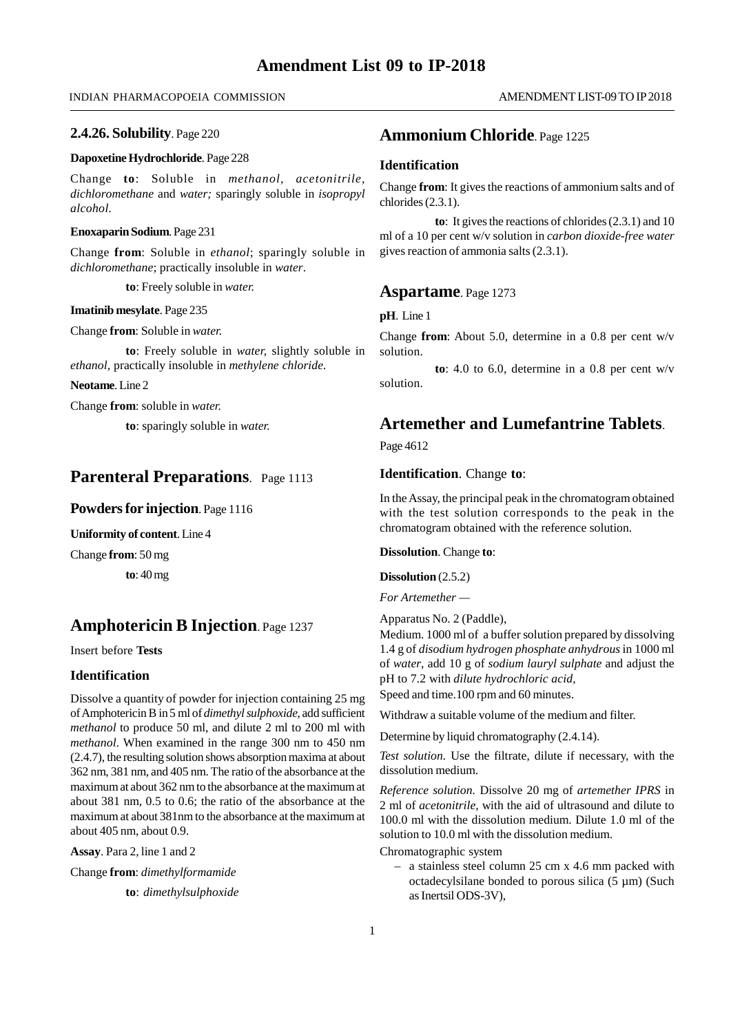### INDIAN PHARMACOPOEIA COMMISSION

### **2.4.26. Solubility**. Page 220

### **Dapoxetine Hydrochloride**. Page 228

Change **to**: Soluble in *methanol, acetonitrile, dichloromethane* and *water;* sparingly soluble in *isopropyl alcohol.*

### **Enoxaparin Sodium**. Page 231

Change **from**: Soluble in *ethanol*; sparingly soluble in *dichloromethane*; practically insoluble in *water*.

**to**: Freely soluble in *water.*

#### **Imatinib mesylate**. Page 235

Change **from**: Soluble in *water.*

**to**: Freely soluble in *water,* slightly soluble in *ethanol,* practically insoluble in *methylene chloride.*

**Neotame**. Line 2

Change **from**: soluble in *water.*

**to**: sparingly soluble in *water.*

## **Parenteral Preparations**. Page 1113

### **Powders for injection**. Page 1116

**Uniformity of content**. Line 4

Change **from**: 50 mg

**to**: 40 mg

## **Amphotericin B Injection**. Page 1237

Insert before **Tests**

### **Identification**

Dissolve a quantity of powder for injection containing 25 mg of Amphotericin B in 5 ml of *dimethyl sulphoxide*, add sufficient *methanol* to produce 50 ml, and dilute 2 ml to 200 ml with *methanol*. When examined in the range 300 nm to 450 nm (2.4.7), the resulting solution shows absorption maxima at about 362 nm, 381 nm, and 405 nm. The ratio of the absorbance at the maximum at about 362 nm to the absorbance at the maximum at about 381 nm, 0.5 to 0.6; the ratio of the absorbance at the maximum at about 381nm to the absorbance at the maximum at about 405 nm, about 0.9.

**Assay**. Para 2, line 1 and 2

Change **from**: *dimethylformamide*

**to**: *dimethylsulphoxide*

### **Ammonium Chloride**. Page 1225

### **Identification**

Change **from**: It gives the reactions of ammonium salts and of chlorides (2.3.1).

**to**: It gives the reactions of chlorides (2.3.1) and 10 ml of a 10 per cent w/v solution in *carbon dioxide-free water* gives reaction of ammonia salts (2.3.1).

### **Aspartame**. Page 1273

**pH**. Line 1

Change **from**: About 5.0, determine in a 0.8 per cent w/v solution.

**to**: 4.0 to 6.0, determine in a 0.8 per cent w/v solution.

## **Artemether and Lumefantrine Tablets**.

Page 4612

### **Identification**. Change **to**:

In the Assay, the principal peak in the chromatogram obtained with the test solution corresponds to the peak in the chromatogram obtained with the reference solution.

### **Dissolution**. Change **to**:

**Dissolution** (2.5.2)

*For Artemether —*

Apparatus No. 2 (Paddle),

Medium. 1000 ml of a buffer solution prepared by dissolving 1.4 g of *disodium hydrogen phosphate anhydrous* in 1000 ml of *water*, add 10 g of *sodium lauryl sulphate* and adjust the pH to 7.2 with *dilute hydrochloric acid,*

Speed and time.100 rpm and 60 minutes.

Withdraw a suitable volume of the medium and filter.

Determine by liquid chromatography (2.4.14).

*Test solution.* Use the filtrate, dilute if necessary, with the dissolution medium.

*Reference solution.* Dissolve 20 mg of *artemether IPRS* in 2 ml of *acetonitrile*, with the aid of ultrasound and dilute to 100.0 ml with the dissolution medium. Dilute 1.0 ml of the solution to 10.0 ml with the dissolution medium.

Chromatographic system

– a stainless steel column 25 cm x 4.6 mm packed with octadecylsilane bonded to porous silica (5 µm) (Such as Inertsil ODS-3V),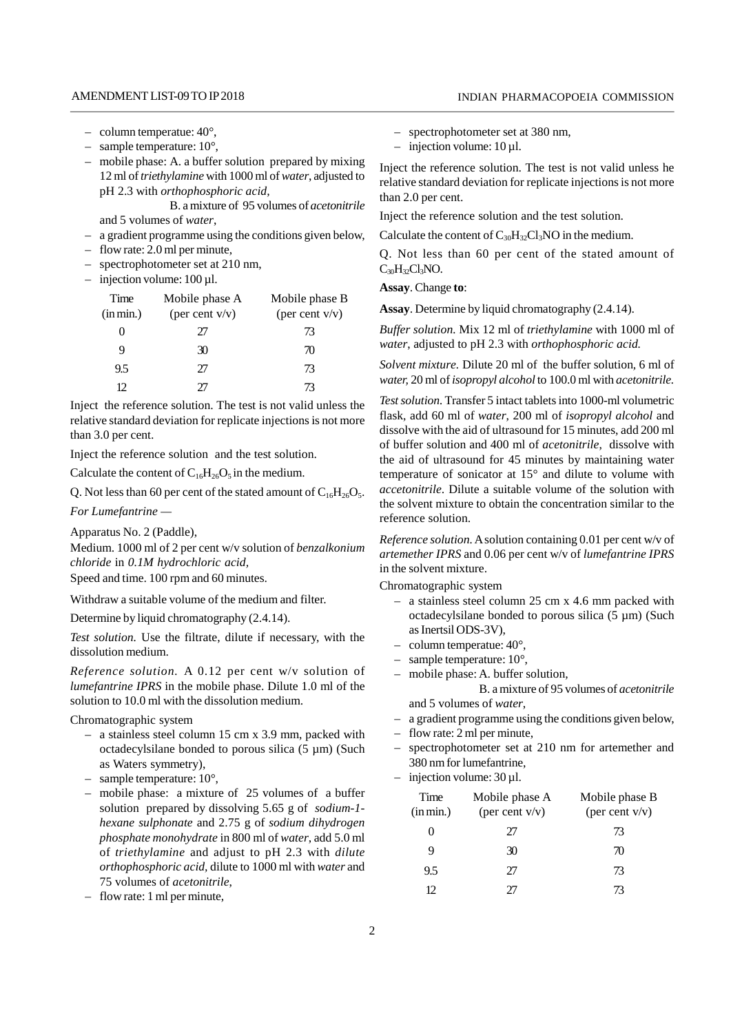- column temperatue:  $40^{\circ}$ ,
- sample temperature:  $10^{\circ}$ ,
- mobile phase: A. a buffer solution prepared by mixing 12 ml of*triethylamine* with 1000 ml of*water*, adjusted to pH 2.3 with *orthophosphoric acid,*

B. a mixture of 95 volumes of *acetonitrile* and 5 volumes of *water*,

- a gradient programme using the conditions given below,
- flow rate: 2.0 ml per minute,
- spectrophotometer set at 210 nm,
- $-$  injection volume: 100  $\mu$ l.

| Time<br>(in min.) | Mobile phase A<br>(per cent $v/v$ ) | Mobile phase B<br>(per cent $v/v$ ) | . <u>.</u><br>Assay |
|-------------------|-------------------------------------|-------------------------------------|---------------------|
| $\theta$          | 27                                  | 73                                  | <b>Buffe</b>        |
| 9                 | 30                                  | 70                                  | water               |
| 9.5               | 27                                  | 73                                  | Solve.              |
| 12.               | 77                                  | 73                                  | water,              |

Inject the reference solution. The test is not valid unless the relative standard deviation for replicate injections is not more than 3.0 per cent.

Inject the reference solution and the test solution.

Calculate the content of  $C_{16}H_{26}O_5$  in the medium.

Q. Not less than 60 per cent of the stated amount of  $C_{16}H_{26}O_5$ .

*For Lumefantrine —*

Apparatus No. 2 (Paddle),

Medium. 1000 ml of 2 per cent w/v solution of *benzalkonium chloride* in *0.1M hydrochloric acid,*

Speed and time. 100 rpm and 60 minutes.

Withdraw a suitable volume of the medium and filter.

Determine by liquid chromatography (2.4.14).

*Test solution.* Use the filtrate, dilute if necessary, with the dissolution medium.

*Reference solution.* A 0.12 per cent w/v solution of *lumefantrine IPRS* in the mobile phase. Dilute 1.0 ml of the solution to 10.0 ml with the dissolution medium.

Chromatographic system

- a stainless steel column 15 cm x 3.9 mm, packed with octadecylsilane bonded to porous silica  $(5 \mu m)$  (Such  $$ as Waters symmetry),
- sample temperature:  $10^{\circ}$ ,
- mobile phase: a mixture of 25 volumes of a buffer solution prepared by dissolving 5.65 g of *sodium-1 hexane sulphonate* and 2.75 g of *sodium dihydrogen phosphate monohydrate* in 800 ml of *water*, add 5.0 ml of *triethylamine* and adjust to pH 2.3 with *dilute orthophosphoric acid,* dilute to 1000 ml with *water* and 75 volumes of *acetonitrile*,
- flow rate: 1 ml per minute,
- spectrophotometer set at 380 nm,
- $-$  injection volume: 10 µl.

Inject the reference solution. The test is not valid unless he relative standard deviation for replicate injections is not more than 2.0 per cent.

Inject the reference solution and the test solution.

Calculate the content of  $C_{30}H_{32}Cl_3NO$  in the medium.

Q. Not less than 60 per cent of the stated amount of  $C_{30}H_{32}Cl_3NO.$ 

**Assay**. Change **to**:

**Assay**. Determine by liquid chromatography (2.4.14).

*Buffer solution.* Mix 12 ml of *triethylamine* with 1000 ml of *water*, adjusted to pH 2.3 with *orthophosphoric acid.*

*Solvent mixture.* Dilute 20 ml of the buffer solution*,* 6 ml of *water,* 20 ml of*isopropyl alcohol* to 100.0 ml with *acetonitrile.*

. *accetonitrile*. Dilute a suitable volume of the solution with *Test solution.* Transfer 5 intact tablets into 1000-ml volumetric flask, add 60 ml of *water*, 200 ml of *isopropyl alcohol* and dissolve with the aid of ultrasound for 15 minutes, add 200 ml of buffer solution and 400 ml of *acetonitrile*, dissolve with the aid of ultrasound for 45 minutes by maintaining water temperature of sonicator at 15° and dilute to volume with the solvent mixture to obtain the concentration similar to the reference solution.

*Reference solution.* A solution containing 0.01 per cent w/v of *artemether IPRS* and 0.06 per cent w/v of *lumefantrine IPRS* in the solvent mixture.

Chromatographic system

- a stainless steel column 25 cm x 4.6 mm packed with octadecylsilane bonded to porous silica  $(5 \mu m)$  (Such as Inertsil ODS-3V),
- column temperatue:  $40^{\circ}$ .
- sample temperature:  $10^{\circ}$ ,
- mobile phase: A. buffer solution*,*

B. a mixture of 95 volumes of *acetonitrile* and 5 volumes of *water*,

- a gradient programme using the conditions given below,
- flow rate: 2 ml per minute,
- spectrophotometer set at 210 nm for artemether and 380 nm for lumefantrine,
- injection volume:  $30 \mu$ l.

| Time<br>(in min.) | Mobile phase A<br>(per cent $v/v$ ) | Mobile phase B<br>(per cent $v/v$ ) |  |
|-------------------|-------------------------------------|-------------------------------------|--|
| 0                 | ŽΤ                                  | 73                                  |  |
| 9                 | 30                                  | 70                                  |  |
| 9.5               | 27                                  | 73                                  |  |
| 12                |                                     | 73                                  |  |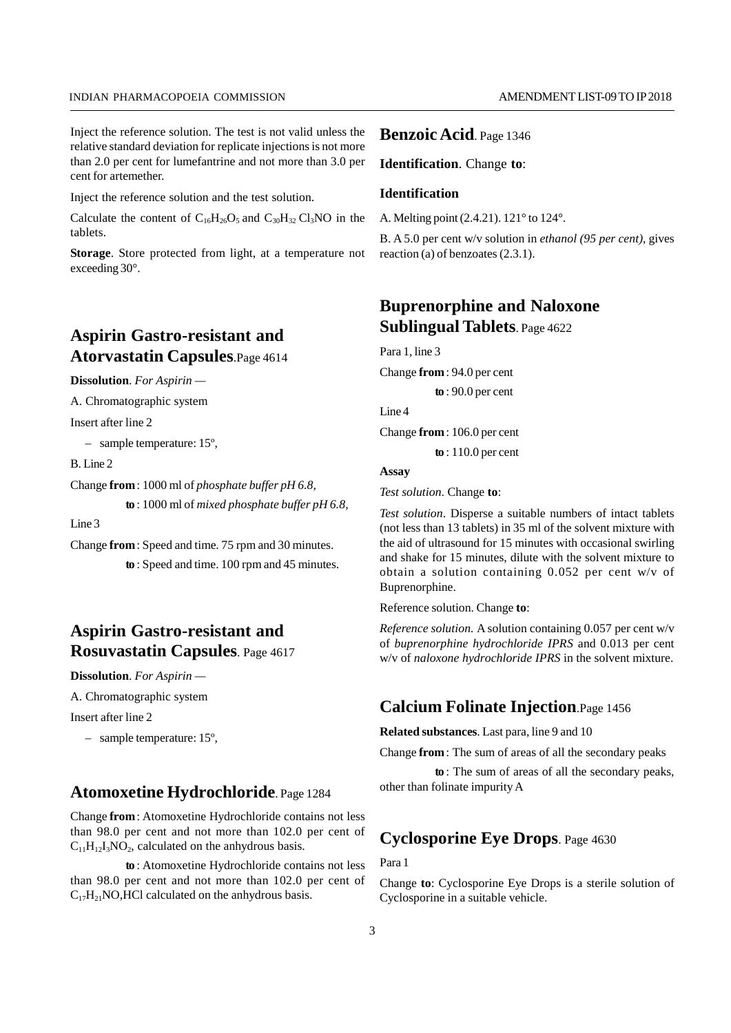#### INDIAN PHARMACOPOEIA COMMISSION

Inject the reference solution. The test is not valid unless the relative standard deviation for replicate injections is not more than 2.0 per cent for lumefantrine and not more than 3.0 per cent for artemether.

Inject the reference solution and the test solution.

Calculate the content of  $C_{16}H_{26}O_5$  and  $C_{30}H_{32}Cl_3NO$  in the tablets.

**Storage**. Store protected from light, at a temperature not exceeding 30°.

## **Aspirin Gastro-resistant and Atorvastatin Capsules**.Page 4614

**Dissolution**. *For Aspirin —*

A. Chromatographic system

Insert after line 2

– sample temperature: 15º,

B. Line 2

Change **from**: 1000 ml of *phosphate buffer pH 6.8,* **to** : 1000 ml of *mixed phosphate buffer pH 6.8,*

Line 3

Change **from**: Speed and time. 75 rpm and 30 minutes. **to** : Speed and time. 100 rpm and 45 minutes.

## **Aspirin Gastro-resistant and Rosuvastatin Capsules**. Page 4617

**Dissolution**. *For Aspirin —*

A. Chromatographic system

Insert after line 2

– sample temperature: 15º,

## **Atomoxetine Hydrochloride**. Page 1284

Change **from**: Atomoxetine Hydrochloride contains not less than 98.0 per cent and not more than 102.0 per cent of  $C_{11}H_{12}I_3NO_2$ , calculated on the anhydrous basis.

**to** : Atomoxetine Hydrochloride contains not less than 98.0 per cent and not more than 102.0 per cent of  $C_{17}H_{21}NO, HCl$  calculated on the anhydrous basis.

### **Benzoic Acid**. Page 1346

**Identification**. Change **to**:

### **Identification**

A. Melting point (2.4.21). 121° to 124°.

B. A 5.0 per cent w/v solution in *ethanol (95 per cent)*, gives reaction (a) of benzoates (2.3.1).

## **Buprenorphine and Naloxone Sublingual Tablets**. Page 4622

Para 1, line 3

Change **from**: 94.0 per cent

**to** : 90.0 per cent

Line 4

Change **from**: 106.0 per cent

**to** : 110.0 per cent

## **Assay**

*Test solution*. Change **to**:

*Test solution*. Disperse a suitable numbers of intact tablets (not less than 13 tablets) in 35 ml of the solvent mixture with the aid of ultrasound for 15 minutes with occasional swirling and shake for 15 minutes, dilute with the solvent mixture to obtain a solution containing 0.052 per cent w/v of Buprenorphine.

Reference solution. Change **to**:

*Reference solution.* A solution containing 0.057 per cent w/v of *buprenorphine hydrochloride IPRS* and 0.013 per cent w/v of *naloxone hydrochloride IPRS* in the solvent mixture.

## **Calcium Folinate Injection**.Page 1456

**Related substances**. Last para, line 9 and 10

Change **from**: The sum of areas of all the secondary peaks

**to** : The sum of areas of all the secondary peaks, other than folinate impurity A

## **Cyclosporine Eye Drops**. Page 4630

Para 1

Change **to**: Cyclosporine Eye Drops is a sterile solution of Cyclosporine in a suitable vehicle.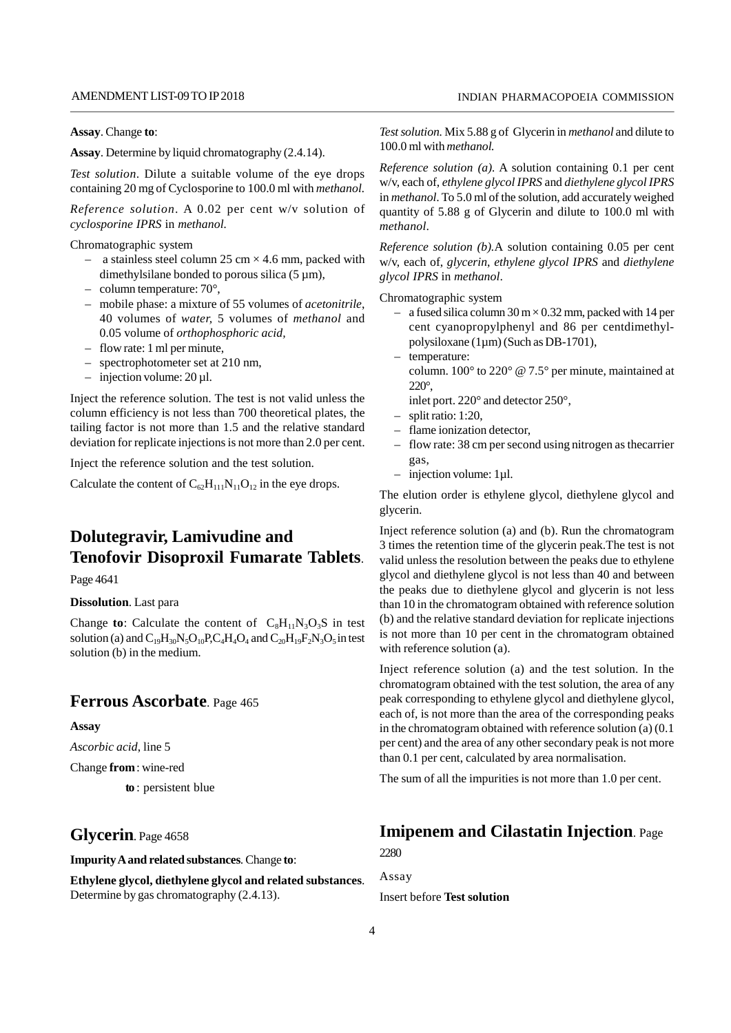**Assay**. Change **to**:

**Assay**. Determine by liquid chromatography (2.4.14).

*Test solution*. Dilute a suitable volume of the eye drops containing 20 mg of Cyclosporine to 100.0 ml with *methanol.*

*Reference solution*. A 0.02 per cent w/v solution of *cyclosporine IPRS* in *methanol.*

Chromatographic system

- a stainless steel column 25 cm  $\times$  4.6 mm, packed with dimethylsilane bonded to porous silica  $(5 \mu m)$ ,
- column temperature:  $70^{\circ}$ ,
- mobile phase: a mixture of 55 volumes of *acetonitrile*, 40 volumes of *water,* 5 volumes of *methanol* and 0.05 volume of *orthophosphoric acid,*
- flow rate: 1 ml per minute,
- spectrophotometer set at 210 nm,
- injection volume:  $20 \mu l$ .

Inject the reference solution. The test is not valid unless the column efficiency is not less than 700 theoretical plates, the tailing factor is not more than 1.5 and the relative standard deviation for replicate injections is not more than 2.0 per cent.

Inject the reference solution and the test solution.

Calculate the content of  $C_{62}H_{111}N_{11}O_{12}$  in the eye drops.

## **Dolutegravir, Lamivudine and Tenofovir Disoproxil Fumarate Tablets**.

Page 4641

### **Dissolution**. Last para

Change **to**: Calculate the content of  $C_8H_{11}N_3O_3S$  in test solution (a) and  $C_{19}H_{30}N_5O_{10}P_{,}C_4H_4O_4$  and  $C_{20}H_{19}F_2N_3O_5$  in test  $^{18}$ solution (b) in the medium.

### **Ferrous Ascorbate**. Page 465

#### **Assay**

*Ascorbic acid*, line 5

Change **from**: wine-red

**to** : persistent blue

## **Glycerin**. Page 4658

**Impurity A and related substances**. Change **to**:

**Ethylene glycol, diethylene glycol and related substances**. Determine by gas chromatography (2.4.13).

INDIAN PHARMACOPOEIA COMMISSION

*Test solution.* Mix 5.88 g of Glycerin in *methanol* and dilute to 100.0 ml with *methanol.*

*Reference solution (a).* A solution containing 0.1 per cent w/v, each of, *ethylene glycol IPRS* and *diethylene glycol IPRS* in *methanol*. To 5.0 ml of the solution, add accurately weighed quantity of 5.88 g of Glycerin and dilute to 100.0 ml with *methanol*.

*Reference solution (b).*A solution containing 0.05 per cent w/v, each of, *glycerin*, *ethylene glycol IPRS* and *diethylene glycol IPRS* in *methanol*.

Chromatographic system

- a fused silica column  $30 \text{ m} \times 0.32 \text{ mm}$ , packed with 14 per cent cyanopropylphenyl and 86 per centdimethylpolysiloxane (1µm) (Such as DB-1701),
- temperature:
- column. 100° to 220° @ 7.5° per minute, maintained at 220°,
- inlet port. 220° and detector 250°,
- split ratio: 1:20,
- flame ionization detector,
- flow rate: 38 cm per second using nitrogen as thecarrier gas,
- injection volume: 1µl.

The elution order is ethylene glycol, diethylene glycol and glycerin.

Inject reference solution (a) and (b). Run the chromatogram 3 times the retention time of the glycerin peak.The test is not valid unless the resolution between the peaks due to ethylene glycol and diethylene glycol is not less than 40 and between the peaks due to diethylene glycol and glycerin is not less than 10 in the chromatogram obtained with reference solution (b) and the relative standard deviation for replicate injections is not more than 10 per cent in the chromatogram obtained with reference solution (a).

Inject reference solution (a) and the test solution. In the chromatogram obtained with the test solution, the area of any peak corresponding to ethylene glycol and diethylene glycol, each of, is not more than the area of the corresponding peaks in the chromatogram obtained with reference solution (a) (0.1 per cent) and the area of any other secondary peak is not more than 0.1 per cent, calculated by area normalisation.

The sum of all the impurities is not more than 1.0 per cent.

## **Imipenem and Cilastatin Injection**. Page

2280

Assay Insert before **Test solution**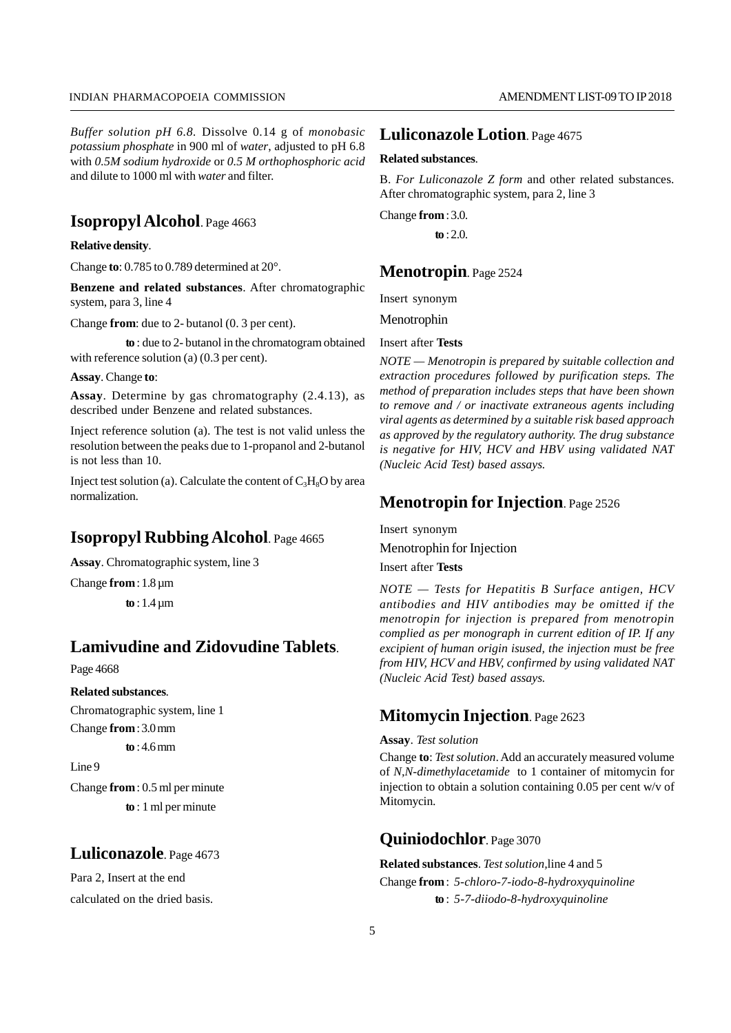*Buffer solution pH 6.8.* Dissolve 0.14 g of *monobasic potassium phosphate* in 900 ml of *water*, adjusted to pH 6.8 with *0.5M sodium hydroxide* or *0.5 M orthophosphoric acid* and dilute to 1000 ml with *water* and filter.

## **Isopropyl Alcohol**. Page 4663

**Relative density**.

Change **to**: 0.785 to 0.789 determined at 20°.

**Benzene and related substances**. After chromatographic system, para 3, line 4

Change **from**: due to 2- butanol (0. 3 per cent).

**to** : due to 2- butanol in the chromatogram obtained with reference solution (a) (0.3 per cent).

#### **Assay**. Change **to**:

**Assay**. Determine by gas chromatography (2.4.13), as described under Benzene and related substances.

Inject reference solution (a). The test is not valid unless the resolution between the peaks due to 1-propanol and 2-butanol is not less than 10.

Inject test solution (a). Calculate the content of  $C_3H_8O$  by area normalization.

## **Isopropyl Rubbing Alcohol**. Page 4665

**Assay**. Chromatographic system, line 3

Change **from**: 1.8 µm

**to** : 1.4 µm

## **Lamivudine and Zidovudine Tablets**.

### Page 4668

#### **Related substances**.

Chromatographic system, line 1 Change **from**: 3.0 mm

**to** : 4.6 mm

Line 9

Change **from**: 0.5 ml per minute **to** : 1 ml per minute

## **Luliconazole**. Page 4673

Para 2, Insert at the end calculated on the dried basis.

### **Luliconazole Lotion**. Page 4675

### **Related substances**.

B. *For Luliconazole Z form* and other related substances. After chromatographic system, para 2, line 3

Change **from**: 3.0.

**to** : 2.0.

### **Menotropin**. Page 2524

Insert synonym

Menotrophin

### Insert after **Tests**

*NOTE — Menotropin is prepared by suitable collection and extraction procedures followed by purification steps. The method of preparation includes steps that have been shown to remove and / or inactivate extraneous agents including viral agents as determined by a suitable risk based approach as approved by the regulatory authority. The drug substance is negative for HIV, HCV and HBV using validated NAT (Nucleic Acid Test) based assays.*

## **Menotropin for Injection**. Page 2526

Insert synonym Menotrophin for Injection

Insert after **Tests**

*NOTE — Tests for Hepatitis B Surface antigen, HCV antibodies and HIV antibodies may be omitted if the menotropin for injection is prepared from menotropin complied as per monograph in current edition of IP. If any excipient of human origin isused, the injection must be free from HIV, HCV and HBV, confirmed by using validated NAT (Nucleic Acid Test) based assays.*

## **Mitomycin Injection**. Page 2623

### **Assay**. *Test solution*

Change **to**: *Test solution*. Add an accurately measured volume of *N,N-dimethylacetamide* to 1 container of mitomycin for injection to obtain a solution containing 0.05 per cent w/v of Mitomycin.

## **Quiniodochlor**. Page 3070

## **Related substances**. *Test solution,*line 4 and 5

Change **from**: *5-chloro-7-iodo-8-hydroxyquinoline* **to** : *5-7-diiodo-8-hydroxyquinoline*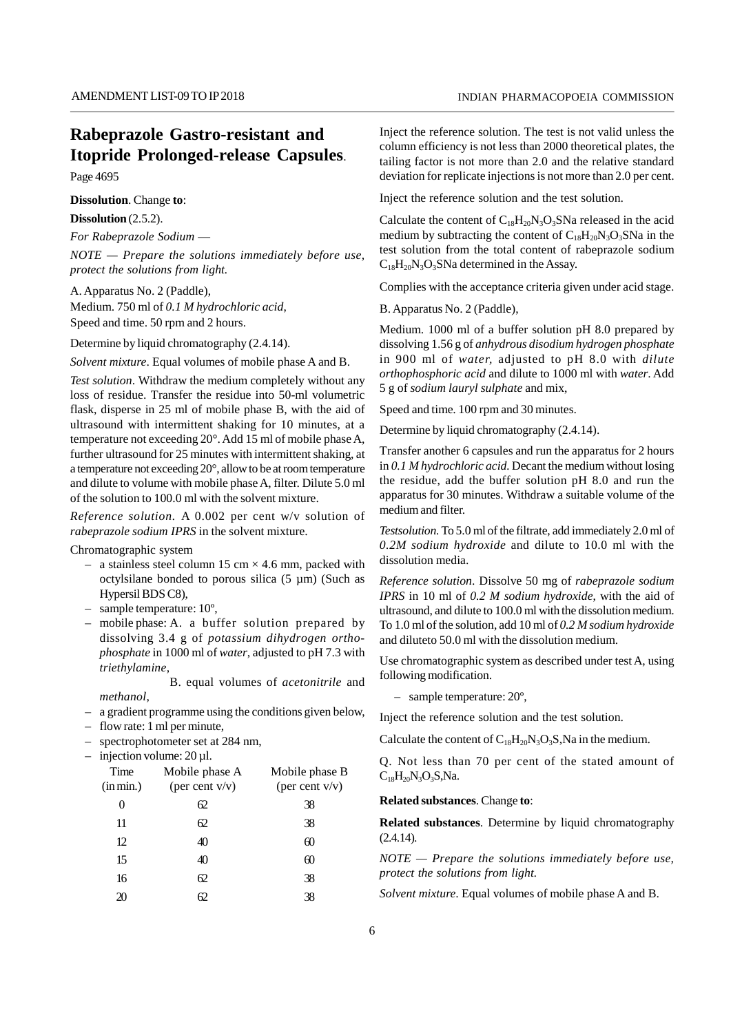## **Rabeprazole Gastro-resistant and Itopride Prolonged-release Capsules**.

Page 4695

**Dissolution**. Change **to**:

**Dissolution** (2.5.2).

*For Rabeprazole Sodium* —

*NOTE — Prepare the solutions immediately before use, protect the solutions from light.*

A. Apparatus No. 2 (Paddle), Medium. 750 ml of *0.1 M hydrochloric acid*, Speed and time. 50 rpm and 2 hours.

Determine by liquid chromatography (2.4.14).

*Solvent mixture*. Equal volumes of mobile phase A and B.

*Test solution*. Withdraw the medium completely without any loss of residue. Transfer the residue into 50-ml volumetric flask, disperse in 25 ml of mobile phase B, with the aid of ultrasound with intermittent shaking for 10 minutes, at a temperature not exceeding 20°. Add 15 ml of mobile phase A, further ultrasound for 25 minutes with intermittent shaking, at a temperature not exceeding 20°, allow to be at room temperature and dilute to volume with mobile phase A, filter. Dilute 5.0 ml of the solution to 100.0 ml with the solvent mixture.

*Reference solution.* A 0.002 per cent w/v solution of *rabeprazole sodium IPRS* in the solvent mixture.

Chromatographic system

*methanol*,

- a stainless steel column 15 cm  $\times$  4.6 mm, packed with octylsilane bonded to porous silica  $(5 \mu m)$  (Such as Hypersil BDS C8),
- sample temperature: 10º,
- mobile phase: A. a buffer solution prepared by dissolving 3.4 g of *potassium dihydrogen orthophosphate* in 1000 ml of *water*, adjusted to pH 7.3 with *triethylamine*,<br>B. equal volumes of *acetonitrile* and

– a gradient programme using the conditions given below,

– flow rate: 1 ml per minute,

– spectrophotometer set at 284 nm,

 $-$  injection volume: 20 µl.

| Time<br>(in min.) | Mobile phase A<br>(per cent $v/v$ ) | Mobile phase B<br>(per cent $v/v$ ) | $C_{18}H_2$  |
|-------------------|-------------------------------------|-------------------------------------|--------------|
| 0                 | 62                                  | 38                                  | <b>Relat</b> |
| 11                | 62                                  | 38                                  | <b>Relat</b> |
| 12                | 40                                  | 60                                  | (2.4.14)     |
| 15                | 40                                  | 60                                  | <b>NOTI</b>  |
| 16                | 62                                  | 38                                  | prote        |
| 20                | 62                                  | 38                                  | Solve.       |
|                   |                                     |                                     |              |

Inject the reference solution. The test is not valid unless the column efficiency is not less than 2000 theoretical plates, the tailing factor is not more than 2.0 and the relative standard deviation for replicate injections is not more than 2.0 per cent.

Inject the reference solution and the test solution.

Calculate the content of  $C_{18}H_{20}N_3O_3S$ Na released in the acid medium by subtracting the content of  $C_{18}H_{20}N_3O_3S$ Na in the test solution from the total content of rabeprazole sodium  $C_{18}H_{20}N_3O_3S$ Na determined in the Assay.

Complies with the acceptance criteria given under acid stage.

B. Apparatus No. 2 (Paddle),

Medium. 1000 ml of a buffer solution pH 8.0 prepared by dissolving 1.56 g of *anhydrous disodium hydrogen phosphate* in 900 ml of *water,* adjusted to pH 8.0 with *dilute orthophosphoric acid* and dilute to 1000 ml with *water*. Add 5 g of *sodium lauryl sulphate* and mix,

Speed and time. 100 rpm and 30 minutes.

Determine by liquid chromatography (2.4.14).

Transfer another 6 capsules and run the apparatus for 2 hours in *0.1 M hydrochloric acid.* Decant the medium without losing the residue, add the buffer solution pH 8.0 and run the apparatus for 30 minutes. Withdraw a suitable volume of the medium and filter.

*Testsolution.* To 5.0 ml of the filtrate, add immediately 2.0 ml of *0.2M sodium hydroxide* and dilute to 10.0 ml with the dissolution media.

*Reference solution*. Dissolve 50 mg of *rabeprazole sodium IPRS* in 10 ml of *0.2 M sodium hydroxide*, with the aid of ultrasound, and dilute to 100.0 ml with the dissolution medium. To 1.0 ml of the solution, add 10 ml of *0.2 M sodium hydroxide* and diluteto 50.0 ml with the dissolution medium.

Use chromatographic system as described under test A, using following modification.

– sample temperature: 20º,

Inject the reference solution and the test solution.

Calculate the content of  $C_{18}H_{20}N_3O_3S$ , Na in the medium.

Q. Not less than 70 per cent of the stated amount of  $C_{18}H_{20}N_3O_3S_3Na.$ 

**Related substances**. Change **to**:

**Related substances**. Determine by liquid chromatography (2.4.14).

*NOTE — Prepare the solutions immediately before use, protect the solutions from light.*

*Solvent mixture*. Equal volumes of mobile phase A and B.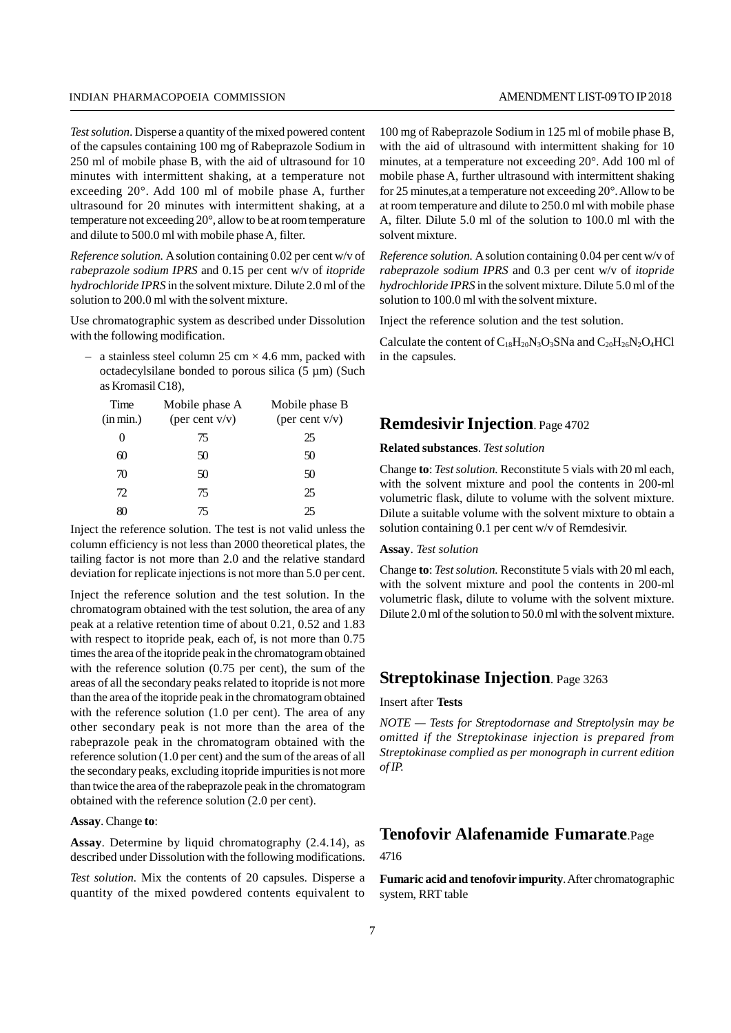*Test solution*. Disperse a quantity of the mixed powered content of the capsules containing 100 mg of Rabeprazole Sodium in 250 ml of mobile phase B, with the aid of ultrasound for 10 minutes with intermittent shaking, at a temperature not exceeding 20°. Add 100 ml of mobile phase A, further ultrasound for 20 minutes with intermittent shaking, at a temperature not exceeding 20°, allow to be at room temperature and dilute to 500.0 ml with mobile phase A, filter.

*Reference solution.* A solution containing 0.02 per cent w/v of *rabeprazole sodium IPRS* and 0.15 per cent w/v of *itopride hydrochloride IPRS* in the solvent mixture. Dilute 2.0 ml of the solution to 200.0 ml with the solvent mixture.

Use chromatographic system as described under Dissolution with the following modification.

– a stainless steel column 25 cm  $\times$  4.6 mm, packed with octadecylsilane bonded to porous silica (5 µm) (Such as Kromasil C18),

| Time      | Mobile phase A    | Mobile phase B    |                 |
|-----------|-------------------|-------------------|-----------------|
| (in min.) | (per cent $v/v$ ) | (per cent $v/v$ ) | Ren             |
| $\theta$  | 75                | 25                |                 |
| 60        | 50                | 50                | <b>Relat</b>    |
| 70        | 50                | 50                | Chang           |
| 72        | 75                | 25                | with 1<br>volun |
| 80        | 75                | 25                | Dilute          |

Inject the reference solution. The test is not valid unless the column efficiency is not less than 2000 theoretical plates, the tailing factor is not more than 2.0 and the relative standard deviation for replicate injections is not more than 5.0 per cent.

Inject the reference solution and the test solution. In the chromatogram obtained with the test solution, the area of any peak at a relative retention time of about 0.21, 0.52 and 1.83 with respect to itopride peak, each of, is not more than  $0.75$ times the area of the itopride peak in the chromatogram obtained with the reference solution (0.75 per cent), the sum of the areas of all the secondary peaks related to itopride is not more than the area of the itopride peak in the chromatogram obtained with the reference solution (1.0 per cent). The area of any other secondary peak is not more than the area of the rabeprazole peak in the chromatogram obtained with the reference solution (1.0 per cent) and the sum of the areas of all the secondary peaks, excluding itopride impurities is not more than twice the area of the rabeprazole peak in the chromatogram obtained with the reference solution (2.0 per cent).

**Assay**. Change **to**:

**Assay**. Determine by liquid chromatography (2.4.14), as described under Dissolution with the following modifications.

*Test solution.* Mix the contents of 20 capsules. Disperse a quantity of the mixed powdered contents equivalent to

100 mg of Rabeprazole Sodium in 125 ml of mobile phase B, with the aid of ultrasound with intermittent shaking for 10 minutes, at a temperature not exceeding 20°. Add 100 ml of mobile phase A, further ultrasound with intermittent shaking for 25 minutes,at a temperature not exceeding 20°. Allow to be at room temperature and dilute to 250.0 ml with mobile phase A, filter. Dilute 5.0 ml of the solution to 100.0 ml with the solvent mixture.

*Reference solution.* A solution containing 0.04 per cent w/v of *rabeprazole sodium IPRS* and 0.3 per cent w/v of *itopride hydrochloride IPRS* in the solvent mixture. Dilute 5.0 ml of the solution to 100.0 ml with the solvent mixture.

Inject the reference solution and the test solution.

Calculate the content of  $C_{18}H_{20}N_3O_3S$ Na and  $C_{20}H_{26}N_2O_4HCl$ in the capsules.

## **Remdesivir Injection**. Page 4702

### **Related substances**. *Test solution*

Change **to**: *Test solution.* Reconstitute 5 vials with 20 ml each, with the solvent mixture and pool the contents in 200-ml volumetric flask, dilute to volume with the solvent mixture. Dilute a suitable volume with the solvent mixture to obtain a solution containing 0.1 per cent w/v of Remdesivir.

#### **Assay**. *Test solution*

Change **to**: *Test solution.* Reconstitute 5 vials with 20 ml each, with the solvent mixture and pool the contents in 200-ml volumetric flask, dilute to volume with the solvent mixture. Dilute 2.0 ml of the solution to 50.0 ml with the solvent mixture.

## **Streptokinase Injection**. Page 3263

#### Insert after **Tests**

*NOTE — Tests for Streptodornase and Streptolysin may be omitted if the Streptokinase injection is prepared from Streptokinase complied as per monograph in current edition of IP.*

## **Tenofovir Alafenamide Fumarate**.Page

#### 4716

**Fumaric acid and tenofovir impurity**. After chromatographic system, RRT table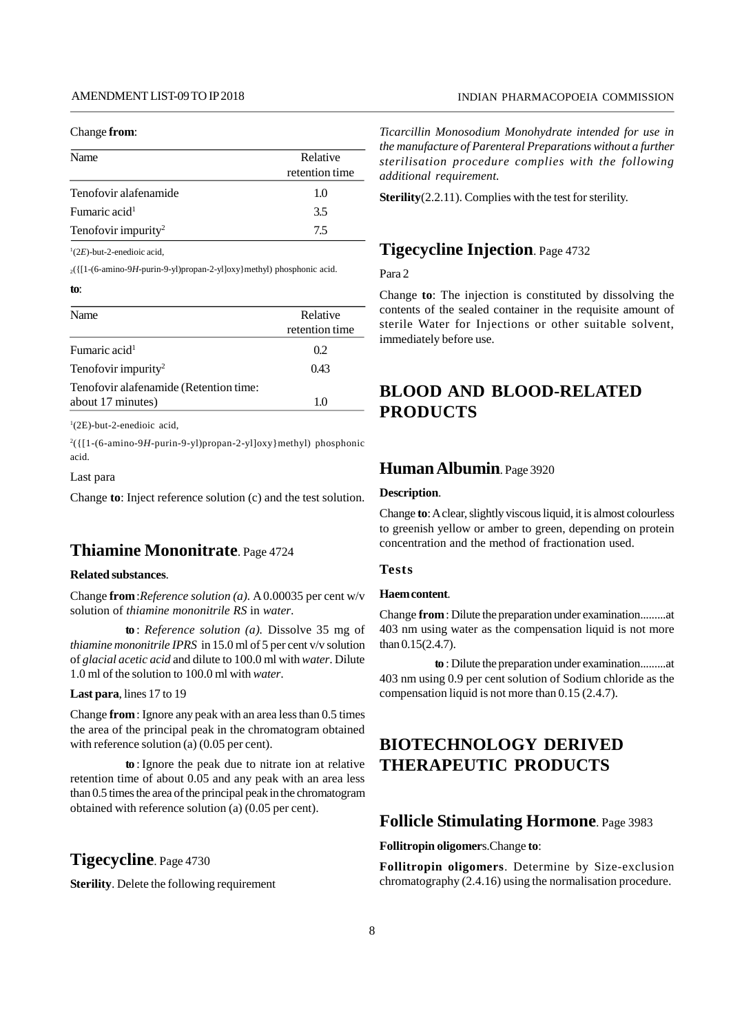#### Change **from**:

| Name                            | Relative<br>retention time |
|---------------------------------|----------------------------|
| Tenofovir alafenamide           | 1.0                        |
| Fumaric acid <sup>1</sup>       | 3.5                        |
| Tenofovir impurity <sup>2</sup> | 75                         |

<sup>1</sup>(2*E*)-but-2-enedioic acid,

<sup>2</sup>({[1-(6-amino-9*H*-purin-9-yl)propan-2-yl]oxy}methyl) phosphonic acid.

#### **to**:

| Name                                   | Relative<br>retention time |
|----------------------------------------|----------------------------|
| Fumaric acid <sup>1</sup>              | 0.2                        |
| Tenofovir impurity <sup>2</sup>        | 0.43                       |
| Tenofovir alafenamide (Retention time: |                            |
| about 17 minutes)                      | 1.0                        |

<sup>1</sup>(2E)-but-2-enedioic acid,

 $^{2}$ ({[1-(6-amino-9*H*-purin-9-yl)propan-2-yl]oxy}methyl) phosphonic acid.

### Last para

Change **to**: Inject reference solution (c) and the test solution.

## **Thiamine Mononitrate**. Page 4724

### **Related substances**.

Change **from**:*Reference solution (a).* A 0.00035 per cent w/v solution of *thiamine mononitrile RS* in *water*.

**to** : *Reference solution (a).* Dissolve 35 mg of *thiamine mononitrile IPRS* in 15.0 ml of 5 per cent v/v solution of *glacial acetic acid* and dilute to 100.0 ml with*water*. Dilute 1.0 ml of the solution to 100.0 ml with*water*.

**Last para**, lines 17 to 19

Change **from**: Ignore any peak with an area less than 0.5 times the area of the principal peak in the chromatogram obtained with reference solution (a) (0.05 per cent).

**to** : Ignore the peak due to nitrate ion at relative retention time of about 0.05 and any peak with an area less than 0.5 times the area of the principal peak in the chromatogram obtained with reference solution (a) (0.05 per cent).

## **Tigecycline**. Page 4730

**Sterility**. Delete the following requirement

### INDIAN PHARMACOPOEIA COMMISSION

retention time *additional requirement. Ticarcillin Monosodium Monohydrate intended for use in the manufacture of Parenteral Preparations without a further sterilisation procedure complies with the following*

**Sterility**(2.2.11). Complies with the test for sterility.

## **Tigecycline Injection**. Page 4732

Para 2

Change **to**: The injection is constituted by dissolving the contents of the sealed container in the requisite amount of sterile Water for Injections or other suitable solvent, immediately before use.

## **BLOOD AND BLOOD-RELATED PRODUCTS**

## **Human Albumin**. Page 3920

### **Description**.

Change **to**: A clear, slightly viscous liquid, it is almost colourless to greenish yellow or amber to green, depending on protein concentration and the method of fractionation used.

### **Tests**

### **Haem content**.

Change **from**: Dilute the preparation under examination.........at 403 nm using water as the compensation liquid is not more than 0.15(2.4.7).

**to** : Dilute the preparation under examination.........at 403 nm using 0.9 per cent solution of Sodium chloride as the compensation liquid is not more than 0.15 (2.4.7).

## **BIOTECHNOLOGY DERIVED THERAPEUTIC PRODUCTS**

## **Follicle Stimulating Hormone**. Page 3983

**Follitropin oligomer**s.Change **to**:

**Follitropin oligomers**. Determine by Size-exclusion chromatography (2.4.16) using the normalisation procedure.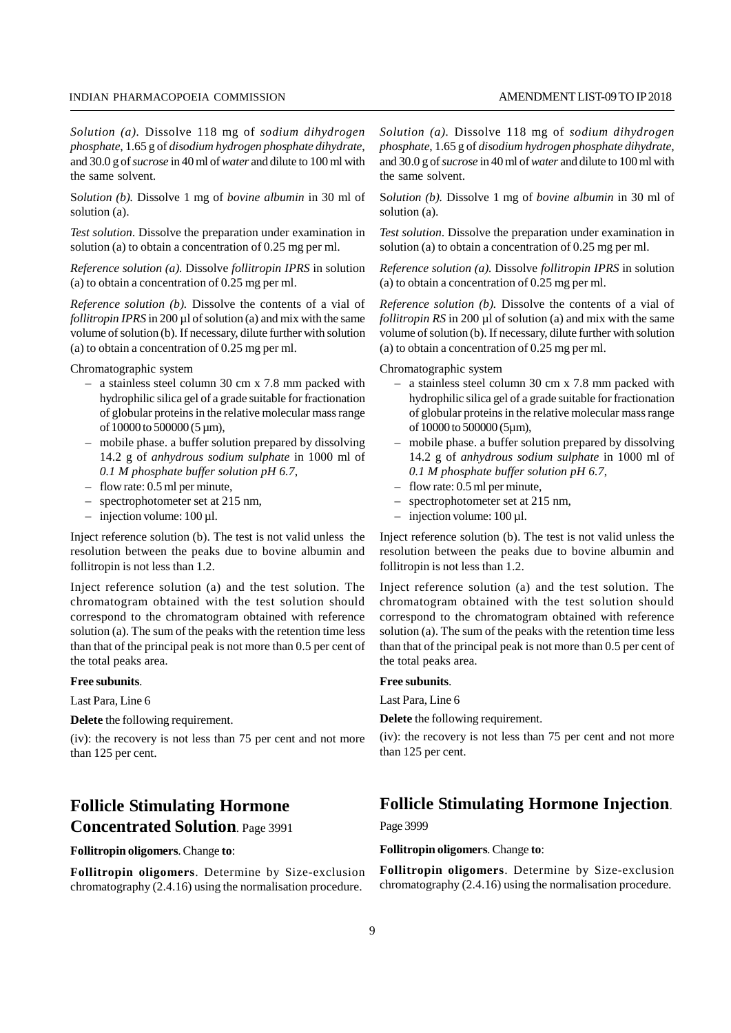*Solution (a).* Dissolve 118 mg of *sodium dihydrogen phosphate*, 1.65 g of *disodium hydrogen phosphate dihydrate*, and 30.0 g of*sucrose* in 40 ml of*water* and dilute to 100 ml with the same solvent.

S*olution (b).* Dissolve 1 mg of *bovine albumin* in 30 ml of solution (a).

*Test solution*. Dissolve the preparation under examination in solution (a) to obtain a concentration of 0.25 mg per ml.

*Reference solution (a).* Dissolve *follitropin IPRS* in solution (a) to obtain a concentration of 0.25 mg per ml.

*Reference solution (b).* Dissolve the contents of a vial of *follitropin IPRS* in 200 µl of solution (a) and mix with the same volume of solution (b). If necessary, dilute further with solution (a) to obtain a concentration of 0.25 mg per ml.

Chromatographic system

- a stainless steel column 30 cm x 7.8 mm packed with hydrophilic silica gel of a grade suitable for fractionation of globular proteins in the relative molecular mass range of 10000 to 500000 (5 µm),
- mobile phase. a buffer solution prepared by dissolving 14.2 g of *anhydrous sodium sulphate* in 1000 ml of *0.1 M phosphate buffer solution pH 6.7*,
- flow rate: 0.5 ml per minute,
- spectrophotometer set at 215 nm,
- $-$  injection volume: 100 µl.

Inject reference solution (b). The test is not valid unless the resolution between the peaks due to bovine albumin and follitropin is not less than 1.2.

Inject reference solution (a) and the test solution. The chromatogram obtained with the test solution should correspond to the chromatogram obtained with reference solution (a). The sum of the peaks with the retention time less than that of the principal peak is not more than 0.5 per cent of the total peaks area.

#### **Free subunits**.

Last Para, Line 6

**Delete** the following requirement.

(iv): the recovery is not less than 75 per cent and not more than 125 per cent.

## **Follicle Stimulating Hormone Concentrated Solution**. Page 3991

**Follitropin oligomers**. Change **to**:

**Follitropin oligomers**. Determine by Size-exclusion chromatography (2.4.16) using the normalisation procedure.

*Solution (a).* Dissolve 118 mg of *sodium dihydrogen phosphate*, 1.65 g of *disodium hydrogen phosphate dihydrate*, and 30.0 g of*sucrose* in 40 ml of*water* and dilute to 100 ml with the same solvent.

S*olution (b).* Dissolve 1 mg of *bovine albumin* in 30 ml of solution (a).

*Test solution*. Dissolve the preparation under examination in solution (a) to obtain a concentration of 0.25 mg per ml.

*Reference solution (a).* Dissolve *follitropin IPRS* in solution (a) to obtain a concentration of 0.25 mg per ml.

*Reference solution (b).* Dissolve the contents of a vial of *follitropin RS* in 200 µl of solution (a) and mix with the same volume of solution (b). If necessary, dilute further with solution (a) to obtain a concentration of 0.25 mg per ml.

Chromatographic system

- a stainless steel column 30 cm x 7.8 mm packed with hydrophilic silica gel of a grade suitable for fractionation of globular proteins in the relative molecular mass range of 10000 to 500000 (5µm),
- mobile phase. a buffer solution prepared by dissolving 14.2 g of *anhydrous sodium sulphate* in 1000 ml of *0.1 M phosphate buffer solution pH 6.7*,
- flow rate: 0.5 ml per minute,
- spectrophotometer set at 215 nm,
- $-$  injection volume: 100 µl.

Inject reference solution (b). The test is not valid unless the resolution between the peaks due to bovine albumin and follitropin is not less than 1.2.

Inject reference solution (a) and the test solution. The chromatogram obtained with the test solution should correspond to the chromatogram obtained with reference solution (a). The sum of the peaks with the retention time less than that of the principal peak is not more than 0.5 per cent of the total peaks area.

#### **Free subunits**.

Last Para, Line 6

**Delete** the following requirement.

(iv): the recovery is not less than 75 per cent and not more than 125 per cent.

## **Follicle Stimulating Hormone Injection**.

Page 3999

**Follitropin oligomers**. Change **to**:

**Follitropin oligomers**. Determine by Size-exclusion chromatography (2.4.16) using the normalisation procedure.